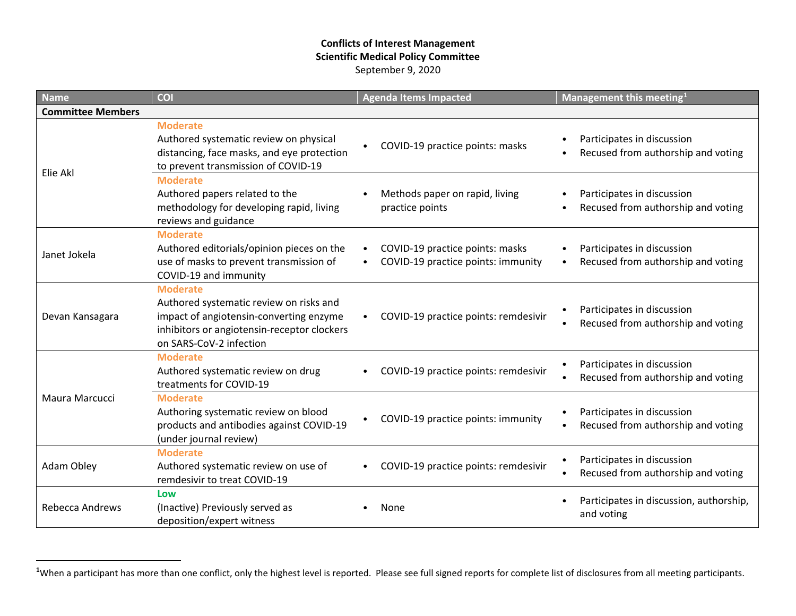## <span id="page-0-0"></span>**Conflicts of Interest Management Scientific Medical Policy Committee** September 9, 2020

| <b>Name</b>              | <b>COI</b>                                                                                                                                                                      |           | <b>Agenda Items Impacted</b>                                          |                | Management this meeting <sup>1</sup>                             |
|--------------------------|---------------------------------------------------------------------------------------------------------------------------------------------------------------------------------|-----------|-----------------------------------------------------------------------|----------------|------------------------------------------------------------------|
| <b>Committee Members</b> |                                                                                                                                                                                 |           |                                                                       |                |                                                                  |
| Elie Akl                 | <b>Moderate</b><br>Authored systematic review on physical<br>distancing, face masks, and eye protection<br>to prevent transmission of COVID-19                                  |           | COVID-19 practice points: masks                                       | $\bullet$      | Participates in discussion<br>Recused from authorship and voting |
|                          | <b>Moderate</b><br>Authored papers related to the<br>methodology for developing rapid, living<br>reviews and guidance                                                           |           | Methods paper on rapid, living<br>practice points                     | ٠<br>$\bullet$ | Participates in discussion<br>Recused from authorship and voting |
| Janet Jokela             | <b>Moderate</b><br>Authored editorials/opinion pieces on the<br>use of masks to prevent transmission of<br>COVID-19 and immunity                                                | $\bullet$ | COVID-19 practice points: masks<br>COVID-19 practice points: immunity | $\bullet$      | Participates in discussion<br>Recused from authorship and voting |
| Devan Kansagara          | <b>Moderate</b><br>Authored systematic review on risks and<br>impact of angiotensin-converting enzyme<br>inhibitors or angiotensin-receptor clockers<br>on SARS-CoV-2 infection |           | COVID-19 practice points: remdesivir                                  |                | Participates in discussion<br>Recused from authorship and voting |
| Maura Marcucci           | <b>Moderate</b><br>Authored systematic review on drug<br>treatments for COVID-19                                                                                                |           | COVID-19 practice points: remdesivir                                  |                | Participates in discussion<br>Recused from authorship and voting |
|                          | <b>Moderate</b><br>Authoring systematic review on blood<br>products and antibodies against COVID-19<br>(under journal review)                                                   |           | COVID-19 practice points: immunity                                    |                | Participates in discussion<br>Recused from authorship and voting |
| Adam Obley               | <b>Moderate</b><br>Authored systematic review on use of<br>remdesivir to treat COVID-19                                                                                         |           | COVID-19 practice points: remdesivir                                  | ٠              | Participates in discussion<br>Recused from authorship and voting |
| <b>Rebecca Andrews</b>   | Low<br>(Inactive) Previously served as<br>deposition/expert witness                                                                                                             |           | None                                                                  |                | Participates in discussion, authorship,<br>and voting            |

<sup>&</sup>lt;sup>1</sup>When a participant has more than one conflict, only the highest level is reported. Please see full signed reports for complete list of disclosures from all meeting participants.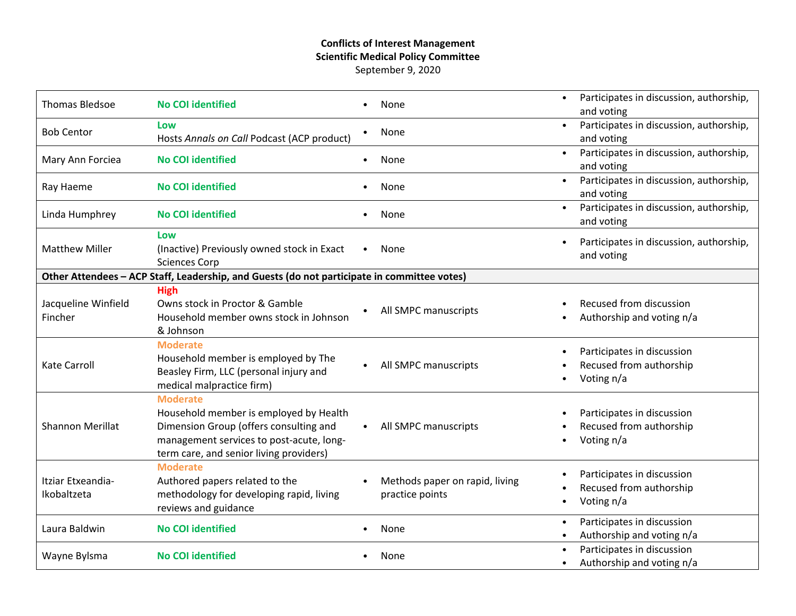## **Conflicts of Interest Management Scientific Medical Policy Committee** September 9, 2020

| <b>Thomas Bledsoe</b>            | <b>No COI identified</b>                                                                                                                                                                   |           | None                                              | $\bullet$ | Participates in discussion, authorship,<br>and voting               |
|----------------------------------|--------------------------------------------------------------------------------------------------------------------------------------------------------------------------------------------|-----------|---------------------------------------------------|-----------|---------------------------------------------------------------------|
| <b>Bob Centor</b>                | Low<br>Hosts Annals on Call Podcast (ACP product)                                                                                                                                          |           | None                                              | $\bullet$ | Participates in discussion, authorship,<br>and voting               |
| Mary Ann Forciea                 | <b>No COI identified</b>                                                                                                                                                                   | $\bullet$ | None                                              | $\bullet$ | Participates in discussion, authorship,<br>and voting               |
| Ray Haeme                        | <b>No COI identified</b>                                                                                                                                                                   |           | None                                              | $\bullet$ | Participates in discussion, authorship,<br>and voting               |
| Linda Humphrey                   | <b>No COI identified</b>                                                                                                                                                                   |           | None                                              | $\bullet$ | Participates in discussion, authorship,<br>and voting               |
| <b>Matthew Miller</b>            | Low<br>(Inactive) Previously owned stock in Exact<br><b>Sciences Corp</b>                                                                                                                  |           | None                                              | $\bullet$ | Participates in discussion, authorship,<br>and voting               |
|                                  | Other Attendees - ACP Staff, Leadership, and Guests (do not participate in committee votes)                                                                                                |           |                                                   |           |                                                                     |
| Jacqueline Winfield<br>Fincher   | <b>High</b><br>Owns stock in Proctor & Gamble<br>Household member owns stock in Johnson<br>& Johnson                                                                                       |           | All SMPC manuscripts                              |           | Recused from discussion<br>Authorship and voting n/a                |
| <b>Kate Carroll</b>              | <b>Moderate</b><br>Household member is employed by The<br>Beasley Firm, LLC (personal injury and<br>medical malpractice firm)                                                              |           | All SMPC manuscripts                              |           | Participates in discussion<br>Recused from authorship<br>Voting n/a |
| <b>Shannon Merillat</b>          | <b>Moderate</b><br>Household member is employed by Health<br>Dimension Group (offers consulting and<br>management services to post-acute, long-<br>term care, and senior living providers) |           | All SMPC manuscripts                              | $\bullet$ | Participates in discussion<br>Recused from authorship<br>Voting n/a |
| Itziar Etxeandia-<br>Ikobaltzeta | <b>Moderate</b><br>Authored papers related to the<br>methodology for developing rapid, living<br>reviews and guidance                                                                      |           | Methods paper on rapid, living<br>practice points | ٠         | Participates in discussion<br>Recused from authorship<br>Voting n/a |
| Laura Baldwin                    | <b>No COI identified</b>                                                                                                                                                                   |           | None                                              | $\bullet$ | Participates in discussion<br>Authorship and voting n/a             |
| Wayne Bylsma                     | <b>No COI identified</b>                                                                                                                                                                   |           | None                                              | $\bullet$ | Participates in discussion<br>Authorship and voting n/a             |